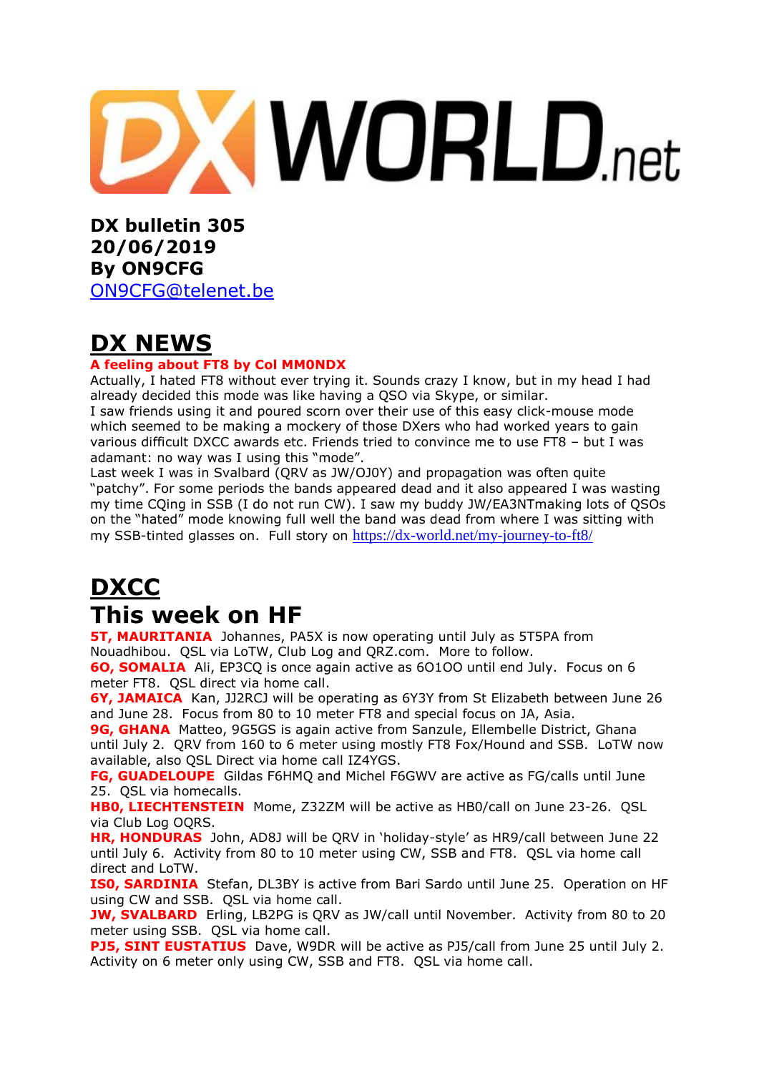

**DX bulletin 305 20/06/2019 By ON9CFG** 

[ON9CFG@telenet.be](mailto:ON9CFG@telenet.be)

# **DX NEWS**

#### **A feeling about FT8 by Col MM0NDX**

Actually, I hated FT8 without ever trying it. Sounds crazy I know, but in my head I had already decided this mode was like having a QSO via Skype, or similar.

I saw friends using it and poured scorn over their use of this easy click-mouse mode which seemed to be making a mockery of those DXers who had worked years to gain various difficult DXCC awards etc. Friends tried to convince me to use FT8 – but I was adamant: no way was I using this "mode".

Last week I was in Svalbard (QRV as [JW/OJ0Y\)](https://dx-world.net/jw-ea3nt-jw-oj0y-svalbard/) and propagation was often quite "patchy". For some periods the bands appeared dead and it also appeared I was wasting my time CQing in SSB (I do not run CW). I saw my buddy [JW/EA3NTm](https://dx-world.net/jw-ea3nt-jw-oj0y-svalbard/)aking lots of QSOs on the "hated" mode knowing full well the band was dead from where I was sitting with my SSB-tinted glasses on. Full story on <https://dx-world.net/my-journey-to-ft8/>

# **DXCC This week on HF**

**5T, MAURITANIA** Johannes, PA5X is now operating until July as 5T5PA from Nouadhibou. QSL via LoTW, Club Log and QRZ.com. More to follow.

**6O, SOMALIA** Ali, EP3CQ is once again active as 6O1OO until end July. Focus on 6 meter FT8. QSL direct via home call.

**6Y, JAMAICA** Kan, JJ2RCJ will be operating as 6Y3Y from St Elizabeth between June 26 and June 28. Focus from 80 to 10 meter FT8 and special focus on JA, Asia.

**9G, GHANA** Matteo, 9G5GS is again active from Sanzule, Ellembelle District, Ghana until July 2. QRV from 160 to 6 meter using mostly FT8 Fox/Hound and SSB. LoTW now available, also QSL Direct via home call IZ4YGS.

**FG, GUADELOUPE** Gildas F6HMQ and Michel F6GWV are active as FG/calls until June 25. QSL via homecalls.

**HB0, LIECHTENSTEIN** Mome, Z32ZM will be active as HB0/call on June 23-26. QSL via Club Log OQRS.

**HR, HONDURAS** John, AD8J will be QRV in 'holiday-style' as HR9/call between June 22 until July 6. Activity from 80 to 10 meter using CW, SSB and FT8. QSL via home call direct and LoTW.

**ISO, SARDINIA** Stefan, DL3BY is active from Bari Sardo until June 25. Operation on HF using CW and SSB. QSL via home call.

**JW, SVALBARD** Erling, LB2PG is ORV as JW/call until November. Activity from 80 to 20 meter using SSB. QSL via home call.

**PJ5, SINT EUSTATIUS** Dave, W9DR will be active as PJ5/call from June 25 until July 2. Activity on 6 meter only using CW, SSB and FT8. QSL via home call.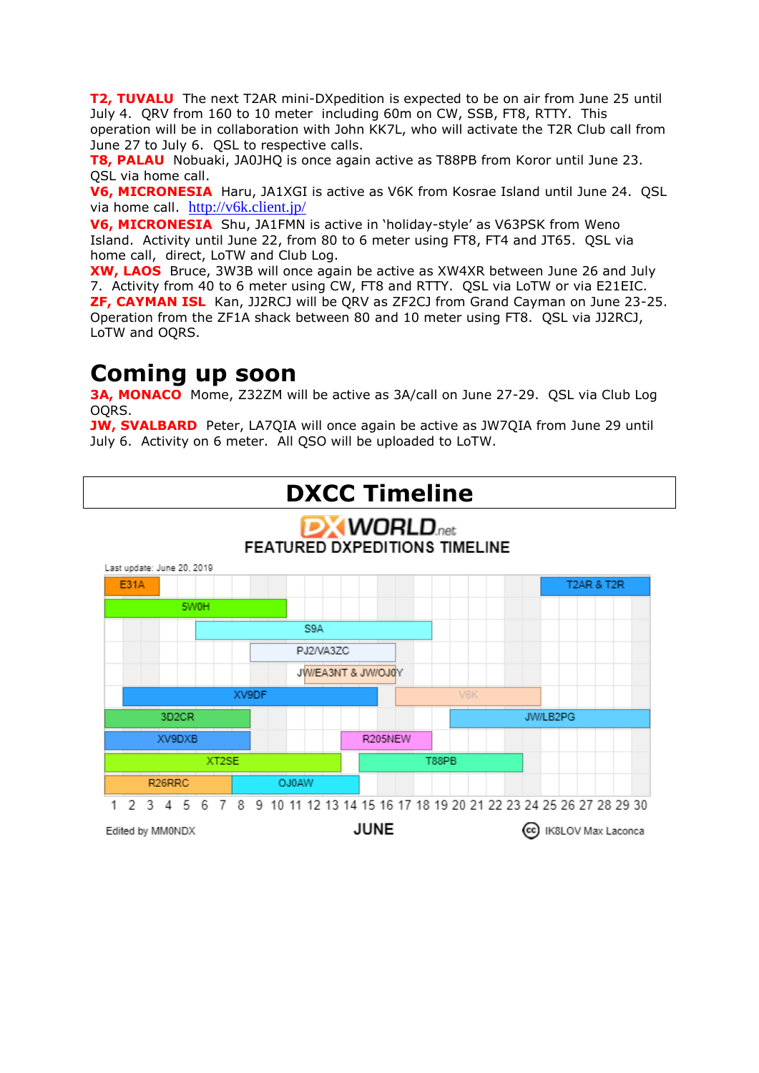**T2, TUVALU** The next T2AR mini-DXpedition is expected to be on air from June 25 until July 4. QRV from 160 to 10 meter including 60m on CW, SSB, FT8, RTTY. This operation will be in collaboration with John KK7L, who will activate the T2R Club call from June 27 to July 6. QSL to respective calls.

**T8, PALAU** Nobuaki, JA0JHQ is once again active as T88PB from Koror until June 23. QSL via home call.

**V6, MICRONESIA** Haru, JA1XGI is active as V6K from Kosrae Island until June 24. QSL via home call. <http://v6k.client.jp/>

**V6, MICRONESIA** Shu, JA1FMN is active in 'holiday-style' as V63PSK from Weno Island. Activity until June 22, from 80 to 6 meter using FT8, FT4 and JT65. QSL via home call, direct, LoTW and Club Log.

**XW, LAOS** Bruce, 3W3B will once again be active as XW4XR between June 26 and July 7. Activity from 40 to 6 meter using CW, FT8 and RTTY. QSL via LoTW or via E21EIC. **ZF, CAYMAN ISL** Kan, JJ2RCJ will be QRV as ZF2CJ from Grand Cayman on June 23-25. Operation from the ZF1A shack between 80 and 10 meter using FT8. QSL via JJ2RCJ, LoTW and OQRS.

### **Coming up soon**

**3A, MONACO** Mome, Z32ZM will be active as 3A/call on June 27-29. QSL via Club Log OQRS.

**JW, SVALBARD** Peter, LA7QIA will once again be active as JW7QIA from June 29 until July 6. Activity on 6 meter. All QSO will be uploaded to LoTW.



Edited by MM0NDX

**JUNE** 

(cc) IK8LOV Max Laconca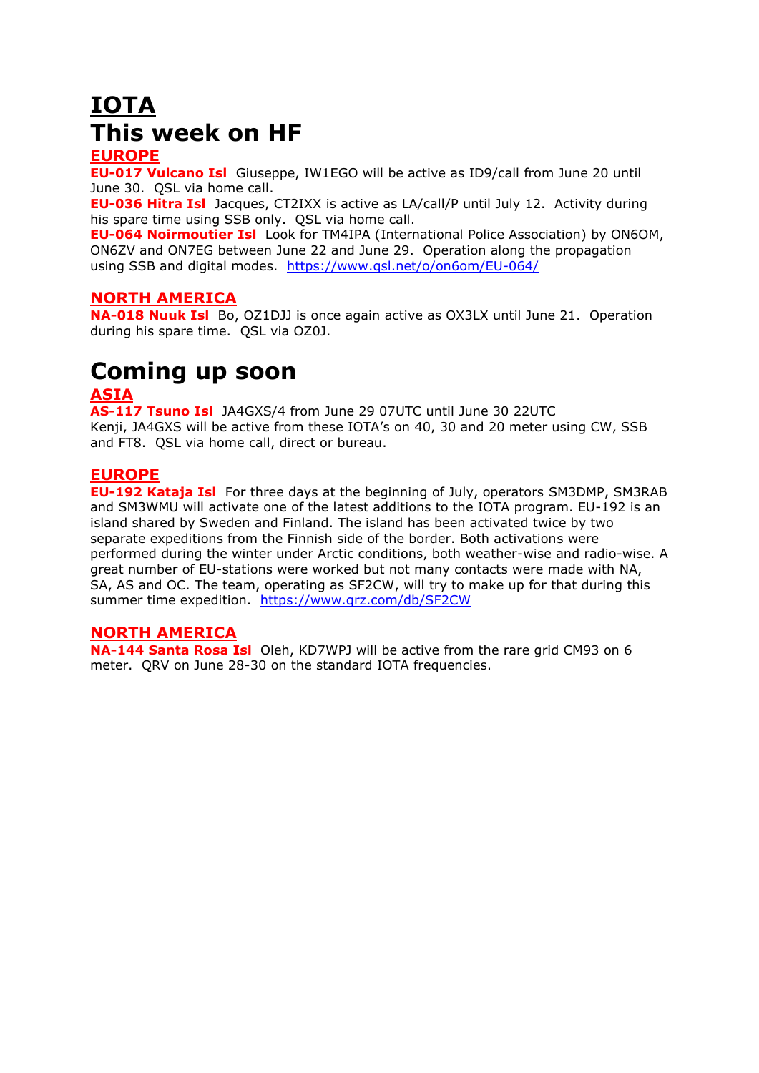# **IOTA This week on HF**

#### **EUROPE**

**EU-017 Vulcano Isl** Giuseppe, IW1EGO will be active as ID9/call from June 20 until June 30. QSL via home call.

**EU-036 Hitra Isl** Jacques, CT2IXX is active as LA/call/P until July 12. Activity during his spare time using SSB only. QSL via home call.

**EU-064 Noirmoutier Isl** Look for TM4IPA (International Police Association) by ON6OM, ON6ZV and ON7EG between June 22 and June 29. Operation along the propagation using SSB and digital modes. <https://www.qsl.net/o/on6om/EU-064/>

#### **NORTH AMERICA**

**NA-018 Nuuk Isl** Bo, OZ1DJJ is once again active as OX3LX until June 21. Operation during his spare time. QSL via OZ0J.

# **Coming up soon**

#### **ASIA**

**AS-117 Tsuno Isl** JA4GXS/4 from June 29 07UTC until June 30 22UTC Kenji, JA4GXS will be active from these IOTA's on 40, 30 and 20 meter using CW, SSB and FT8. QSL via home call, direct or bureau.

#### **EUROPE**

**EU-192 Kataja Isl** For three days at the beginning of July, operators SM3DMP, SM3RAB and SM3WMU will activate one of the latest additions to the IOTA program. EU-192 is an island shared by Sweden and Finland. The island has been activated twice by two separate expeditions from the Finnish side of the border. Both activations were performed during the winter under Arctic conditions, both weather-wise and radio-wise. A great number of EU-stations were worked but not many contacts were made with NA, SA, AS and OC. The team, operating as SF2CW, will try to make up for that during this summer time expedition. <https://www.qrz.com/db/SF2CW>

#### **NORTH AMERICA**

**NA-144 Santa Rosa Isl** Oleh, KD7WPJ will be active from the rare grid CM93 on 6 meter. ORV on June 28-30 on the standard IOTA frequencies.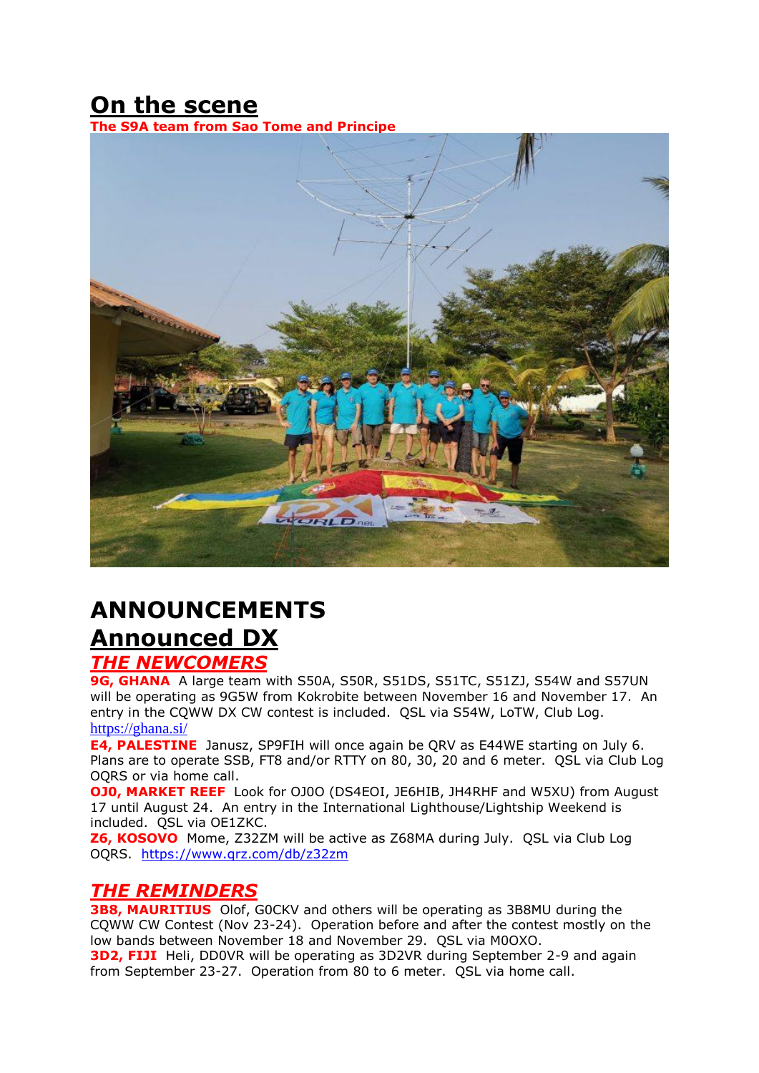# **On the scene**

**The S9A team from Sao Tome and Principe**



# **ANNOUNCEMENTS Announced DX**

### *THE NEWCOMERS*

9G, GHANA A large team with S50A, S50R, S51DS, S51TC, S51ZJ, S54W and S57UN will be operating as 9G5W from Kokrobite between November 16 and November 17. An entry in the CQWW DX CW contest is included. QSL via S54W, LoTW, Club Log. <https://ghana.si/>

**E4, PALESTINE** Janusz, SP9FIH will once again be QRV as E44WE starting on July 6. Plans are to operate SSB, FT8 and/or RTTY on 80, 30, 20 and 6 meter. QSL via Club Log OQRS or via home call.

**OJ0, MARKET REEF** Look for OJ0O (DS4EOI, JE6HIB, JH4RHF and W5XU) from August 17 until August 24. An entry in the International Lighthouse/Lightship Weekend is included. QSL via OE1ZKC.

**Z6, KOSOVO** Mome, Z32ZM will be active as Z68MA during July. QSL via Club Log OQRS. <https://www.qrz.com/db/z32zm>

### *THE REMINDERS*

**3B8, MAURITIUS** Olof, GOCKV and others will be operating as 3B8MU during the CQWW CW Contest (Nov 23-24). Operation before and after the contest mostly on the low bands between November 18 and November 29. QSL via M0OXO. **3D2, FIJI** Heli, DD0VR will be operating as 3D2VR during September 2-9 and again from September 23-27. Operation from 80 to 6 meter. QSL via home call.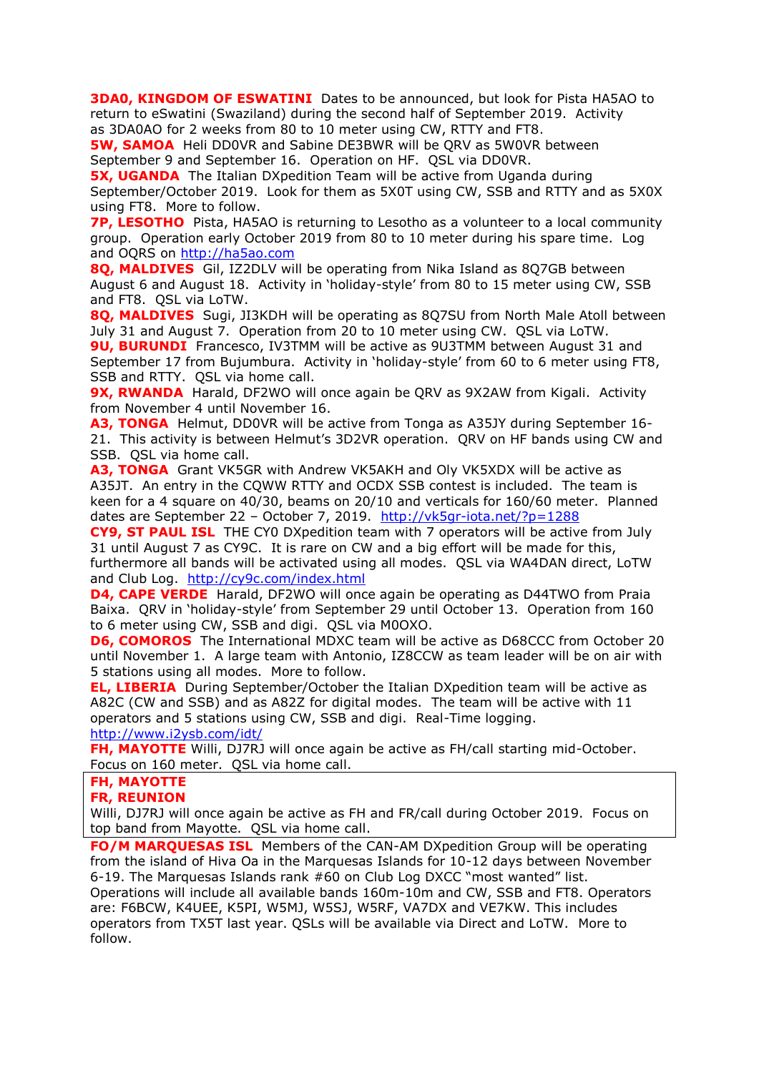**3DA0, KINGDOM OF ESWATINI** Dates to be announced, but look for Pista HA5AO to return to eSwatini (Swaziland) during the second half of September 2019. Activity as 3DA0AO for 2 weeks from 80 to 10 meter using CW, RTTY and FT8.

**5W, SAMOA** Heli DD0VR and Sabine DE3BWR will be QRV as 5W0VR between September 9 and September 16. Operation on HF. QSL via DD0VR.

**5X, UGANDA** The Italian DXpedition Team will be active from Uganda during September/October 2019. Look for them as 5X0T using CW, SSB and RTTY and as 5X0X using FT8. More to follow.

**7P, LESOTHO** Pista, HA5AO is returning to Lesotho as a volunteer to a local community group. Operation early October 2019 from 80 to 10 meter during his spare time. Log and OQRS on [http://ha5ao.com](http://ha5ao.com/)

**8Q, MALDIVES** Gil, IZ2DLV will be operating from Nika Island as 8Q7GB between August 6 and August 18. Activity in 'holiday-style' from 80 to 15 meter using CW, SSB and FT8. QSL via LoTW.

**8Q, MALDIVES** Sugi, JI3KDH will be operating as 8Q7SU from North Male Atoll between July 31 and August 7. Operation from 20 to 10 meter using CW. QSL via LoTW.

**9U, BURUNDI** Francesco, IV3TMM will be active as 9U3TMM between August 31 and September 17 from Bujumbura. Activity in 'holiday-style' from 60 to 6 meter using FT8, SSB and RTTY. QSL via home call.

**9X, RWANDA** Harald, DF2WO will once again be QRV as 9X2AW from Kigali. Activity from November 4 until November 16.

**A3, TONGA** Helmut, DD0VR will be active from Tonga as A35JY during September 16- 21. This activity is between Helmut's [3D2VR](https://dx-world.net/3d2vr-fiji/) operation. QRV on HF bands using CW and SSB. QSL via home call.

**A3, TONGA** Grant VK5GR with Andrew VK5AKH and Oly VK5XDX will be active as A35JT. An entry in the CQWW RTTY and OCDX SSB contest is included. The team is keen for a 4 square on 40/30, beams on 20/10 and verticals for 160/60 meter. Planned dates are September 22 - October 7, 2019. <http://vk5gr-iota.net/?p=1288>

**CY9, ST PAUL ISL** THE CY0 DXpedition team with 7 operators will be active from July 31 until August 7 as CY9C. It is rare on CW and a big effort will be made for this, furthermore all bands will be activated using all modes. QSL via WA4DAN direct, LoTW and Club Log. <http://cy9c.com/index.html>

**D4, CAPE VERDE** Harald, DF2WO will once again be operating as D44TWO from Praia Baixa. QRV in 'holiday-style' from September 29 until October 13. Operation from 160 to 6 meter using CW, SSB and digi. QSL via M0OXO.

**D6, COMOROS** The International MDXC team will be active as D68CCC from October 20 until November 1. A large team with Antonio, IZ8CCW as team leader will be on air with 5 stations using all modes. More to follow.

**EL, LIBERIA** During September/October the Italian DXpedition team will be active as A82C (CW and SSB) and as A82Z for digital modes. The team will be active with 11 operators and 5 stations using CW, SSB and digi. Real-Time logging. <http://www.i2ysb.com/idt/>

**FH, MAYOTTE** Willi, DJ7RJ will once again be active as FH/call starting mid-October. Focus on 160 meter. QSL via home call.

#### **FH, MAYOTTE**

#### **FR, REUNION**

Willi, DJ7RJ will once again be active as FH and FR/call during October 2019. Focus on top band from Mayotte. QSL via home call.

**FO/M MARQUESAS ISL** Members of the CAN-AM DXpedition Group will be operating from the island of Hiva Oa in the Marquesas Islands for 10-12 days between November 6-19. The Marquesas Islands rank #60 on Club Log DXCC "most wanted" list. Operations will include all available bands 160m-10m and CW, SSB and FT8. Operators are: F6BCW, K4UEE, K5PI, W5MJ, W5SJ, W5RF, VA7DX and VE7KW. This includes operators from TX5T last year. QSLs will be available via Direct and LoTW. More to follow.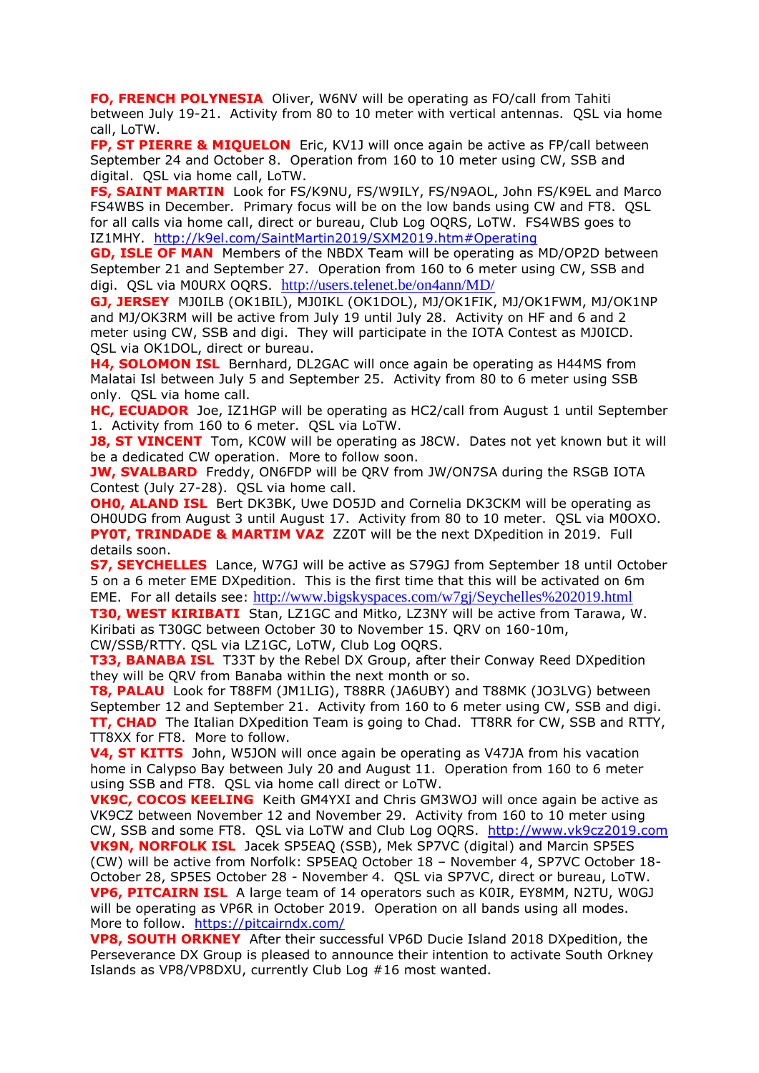**FO, FRENCH POLYNESIA** Oliver, W6NV will be operating as FO/call from Tahiti between July 19-21. Activity from 80 to 10 meter with vertical antennas. QSL via home call, LoTW.

**FP, ST PIERRE & MIQUELON** Eric, KV1J will once again be active as FP/call between September 24 and October 8. Operation from 160 to 10 meter using CW, SSB and digital. QSL via home call, LoTW.

**FS, SAINT MARTIN** Look for FS/K9NU, FS/W9ILY, FS/N9AOL, John FS/K9EL and Marco FS4WBS in December. Primary focus will be on the low bands using CW and FT8. QSL for all calls via home call, direct or bureau, Club Log OQRS, LoTW. FS4WBS goes to IZ1MHY. <http://k9el.com/SaintMartin2019/SXM2019.htm#Operating>

**GD, ISLE OF MAN** Members of the NBDX Team will be operating as MD/OP2D between September 21 and September 27. Operation from 160 to 6 meter using CW, SSB and digi. QSL via M0URX OQRS. <http://users.telenet.be/on4ann/MD/>

**GJ, JERSEY** MJ0ILB (OK1BIL), MJ0IKL (OK1DOL), MJ/OK1FIK, MJ/OK1FWM, MJ/OK1NP and MJ/OK3RM will be active from July 19 until July 28. Activity on HF and 6 and 2 meter using CW, SSB and digi. They will participate in the IOTA Contest as MJ0ICD. QSL via OK1DOL, direct or bureau.

**H4, SOLOMON ISL** Bernhard, DL2GAC will once again be operating as H44MS from Malatai Isl between July 5 and September 25. Activity from 80 to 6 meter using SSB only. QSL via home call.

**HC, ECUADOR** Joe, IZ1HGP will be operating as HC2/call from August 1 until September 1. Activity from 160 to 6 meter. QSL via LoTW.

**J8, ST VINCENT** Tom, KC0W will be operating as J8CW. Dates not yet known but it will be a dedicated CW operation. More to follow soon.

**JW, SVALBARD** Freddy, ON6FDP will be QRV from JW/ON7SA during the RSGB IOTA Contest (July 27-28). QSL via home call.

**OHO, ALAND ISL** Bert DK3BK, Uwe DO5JD and Cornelia DK3CKM will be operating as OH0UDG from August 3 until August 17. Activity from 80 to 10 meter. QSL via M0OXO. **PY0T, TRINDADE & MARTIM VAZ** ZZ0T will be the next DXpedition in 2019. Full details soon.

**S7, SEYCHELLES** Lance, W7GJ will be active as S79GJ from September 18 until October 5 on a 6 meter EME DXpedition. This is the first time that this will be activated on 6m EME. For all details see: http://www.bigskyspaces.com/w7gj/Seychelles%202019.html

**T30, WEST KIRIBATI** Stan, LZ1GC and Mitko, LZ3NY will be active from Tarawa, W. Kiribati as T30GC between October 30 to November 15. QRV on 160-10m, CW/SSB/RTTY. QSL via LZ1GC, LoTW, Club Log OQRS.

**T33, BANABA ISL** T33T by the Rebel DX Group, after their Conway Reed DXpedition they will be QRV from Banaba within the next month or so.

**T8, PALAU** Look for T88FM (JM1LIG), T88RR (JA6UBY) and T88MK (JO3LVG) between September 12 and September 21. Activity from 160 to 6 meter using CW, SSB and digi. **TT, CHAD** The Italian DXpedition Team is going to Chad. TT8RR for CW, SSB and RTTY, TT8XX for FT8. More to follow.

**V4, ST KITTS** John, W5JON will once again be operating as V47JA from his vacation home in Calypso Bay between July 20 and August 11. Operation from 160 to 6 meter using SSB and FT8. QSL via home call direct or LoTW.

**VK9C, COCOS KEELING** Keith GM4YXI and Chris GM3WOJ will once again be active as VK9CZ between November 12 and November 29. Activity from 160 to 10 meter using CW, SSB and some FT8. QSL via LoTW and Club Log OQRS. [http://www.vk9cz2019.com](http://www.vk9cz2019.com/) **VK9N, NORFOLK ISL** Jacek SP5EAQ (SSB), Mek SP7VC (digital) and Marcin SP5ES (CW) will be active from Norfolk: SP5EAQ October 18 – November 4, SP7VC October 18- October 28, SP5ES October 28 - November 4. QSL via SP7VC, direct or bureau, LoTW. **VP6, PITCAIRN ISL** A large team of 14 operators such as K0IR, EY8MM, N2TU, W0GJ will be operating as VP6R in October 2019. Operation on all bands using all modes.

More to follow. <https://pitcairndx.com/>

**VP8, SOUTH ORKNEY** After their successful VP6D Ducie Island 2018 DXpedition, the Perseverance DX Group is pleased to announce their intention to activate South Orkney Islands as VP8/VP8DXU, currently Club Log #16 most wanted.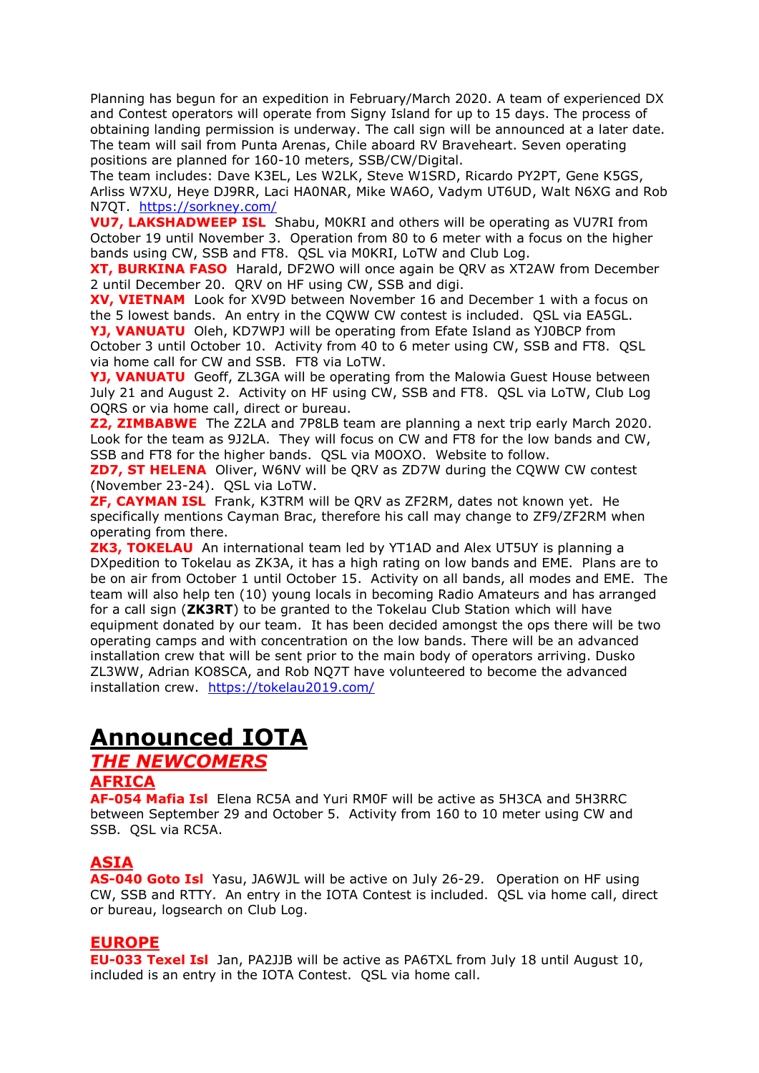Planning has begun for an expedition in February/March 2020. A team of experienced DX and Contest operators will operate from Signy Island for up to 15 days. The process of obtaining landing permission is underway. The call sign will be announced at a later date. The team will sail from Punta Arenas, Chile aboard RV Braveheart. Seven operating positions are planned for 160-10 meters, SSB/CW/Digital.

The team includes: Dave K3EL, Les W2LK, Steve W1SRD, Ricardo PY2PT, Gene K5GS, Arliss W7XU, Heye DJ9RR, Laci HA0NAR, Mike WA6O, Vadym UT6UD, Walt N6XG and Rob N7QT. <https://sorkney.com/>

**VU7, LAKSHADWEEP ISL** Shabu, M0KRI and others will be operating as VU7RI from October 19 until November 3. Operation from 80 to 6 meter with a focus on the higher bands using CW, SSB and FT8. QSL via M0KRI, LoTW and Club Log.

**XT, BURKINA FASO** Harald, DF2WO will once again be QRV as XT2AW from December 2 until December 20. QRV on HF using CW, SSB and digi.

**XV, VIETNAM** Look for XV9D between November 16 and December 1 with a focus on the 5 lowest bands. An entry in the CQWW CW contest is included. QSL via EA5GL. **YJ, VANUATU** Oleh, KD7WPJ will be operating from Efate Island as YJ0BCP from October 3 until October 10. Activity from 40 to 6 meter using CW, SSB and FT8. QSL via home call for CW and SSB. FT8 via LoTW.

**YJ, VANUATU** Geoff, ZL3GA will be operating from the Malowia Guest House between July 21 and August 2. Activity on HF using CW, SSB and FT8. QSL via LoTW, Club Log OQRS or via home call, direct or bureau.

**Z2, ZIMBABWE** The Z2LA and 7P8LB team are planning a next trip early March 2020. Look for the team as 9J2LA. They will focus on CW and FT8 for the low bands and CW, SSB and FT8 for the higher bands. QSL via M0OXO. Website to follow.

**ZD7, ST HELENA** Oliver, W6NV will be QRV as ZD7W during the CQWW CW contest (November 23-24). QSL via LoTW.

**ZF, CAYMAN ISL** Frank, K3TRM will be QRV as ZF2RM, dates not known yet. He specifically mentions Cayman Brac, therefore his call may change to ZF9/ZF2RM when operating from there.

**ZK3, TOKELAU** An international team led by YT1AD and Alex UT5UY is planning a DXpedition to Tokelau as ZK3A, it has a high rating on low bands and EME. Plans are to be on air from October 1 until October 15. Activity on all bands, all modes and EME. The team will also help ten (10) young locals in becoming Radio Amateurs and has arranged for a call sign (**ZK3RT**) to be granted to the Tokelau Club Station which will have equipment donated by our team. It has been decided amongst the ops there will be two operating camps and with concentration on the low bands. There will be an advanced installation crew that will be sent prior to the main body of operators arriving. Dusko ZL3WW, Adrian KO8SCA, and Rob NQ7T have volunteered to become the advanced installation crew. <https://tokelau2019.com/>

# **Announced IOTA**

### *THE NEWCOMERS*

#### **AFRICA**

**AF-054 Mafia Isl** Elena RC5A and Yuri RM0F will be active as 5H3CA and 5H3RRC between September 29 and October 5. Activity from 160 to 10 meter using CW and SSB. QSL via RC5A.

#### **ASIA**

**AS-040 Goto Isl** Yasu, JA6WJL will be active on July 26-29. Operation on HF using CW, SSB and RTTY. An entry in the IOTA Contest is included. QSL via home call, direct or bureau, logsearch on Club Log.

#### **EUROPE**

**EU-033 Texel Isl** Jan, PA2JJB will be active as PA6TXL from July 18 until August 10, included is an entry in the IOTA Contest. QSL via home call.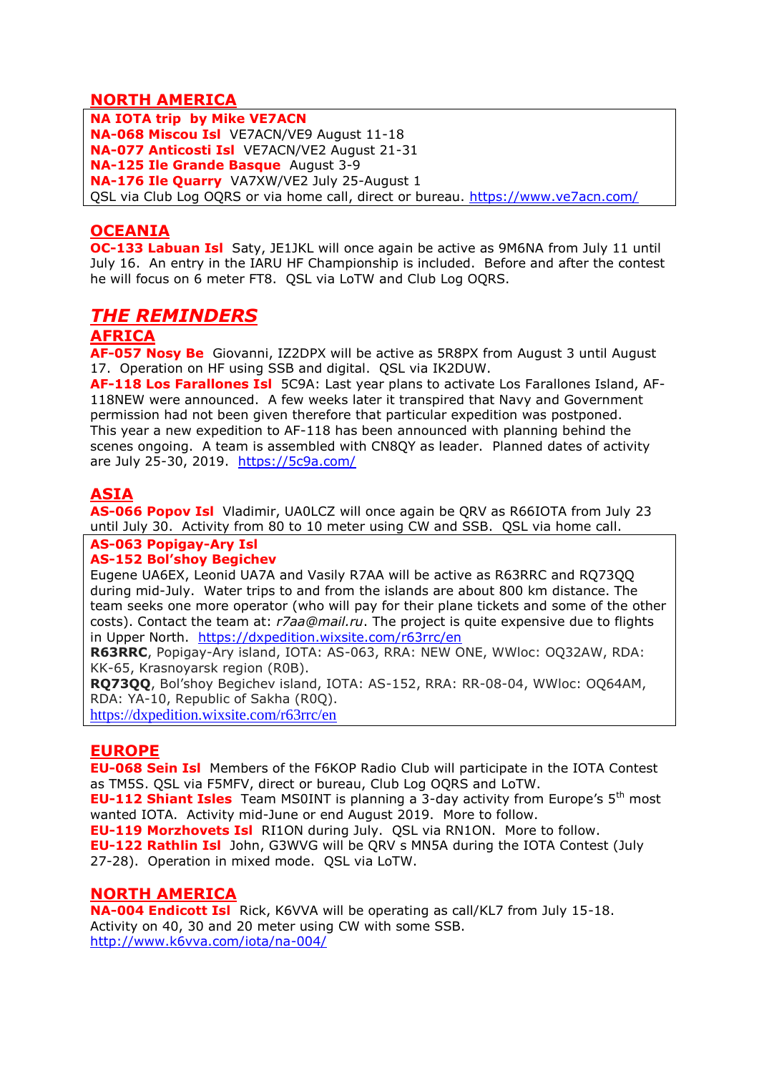### **NORTH AMERICA**

**NA IOTA trip by Mike VE7ACN NA-068 Miscou Isl** VE7ACN/VE9 August 11-18 **NA-077 Anticosti Isl** VE7ACN/VE2 August 21-31 **NA-125 Ile Grande Basque** August 3-9 **NA-176 Ile Quarry** VA7XW/VE2 July 25-August 1 QSL via Club Log OQRS or via home call, direct or bureau.<https://www.ve7acn.com/>

### **OCEANIA**

**OC-133 Labuan Isl** Saty, JE1JKL will once again be active as 9M6NA from July 11 until July 16. An entry in the IARU HF Championship is included. Before and after the contest he will focus on 6 meter FT8. QSL via LoTW and Club Log OQRS.

### *THE REMINDERS*

#### **AFRICA**

**AF-057 Nosy Be** Giovanni, IZ2DPX will be active as 5R8PX from August 3 until August 17. Operation on HF using SSB and digital. QSL via IK2DUW.

**AF-118 Los Farallones Isl** 5C9A: Last year plans to activate Los Farallones Island, AF-118NEW were announced. A few weeks later it transpired that Navy and Government permission had not been given therefore that particular expedition was postponed. This year a new expedition to AF-118 has been announced with planning behind the scenes ongoing. A team is assembled with CN8QY as leader. Planned dates of activity are July 25-30, 2019. <https://5c9a.com/>

### **ASIA**

**AS-066 Popov Isl** Vladimir, UA0LCZ will once again be QRV as R66IOTA from July 23 until July 30. Activity from 80 to 10 meter using CW and SSB. QSL via home call.

#### **AS-063 Popigay-Ary Isl**

#### **AS-152 Bol'shoy Begichev**

Eugene UA6EX, Leonid UA7A and Vasily R7AA will be active as R63RRC and RQ73QQ during mid-July. Water trips to and from the islands are about 800 km distance. The team seeks one more operator (who will pay for their plane tickets and some of the other costs). Contact the team at: *r7aa@mail.ru*. The project is quite expensive due to flights in Upper North. <https://dxpedition.wixsite.com/r63rrc/en>

**R63RRC**, Popigay-Ary island, IOTA: AS-063, RRA: NEW ONE, WWloc: OQ32AW, RDA: KK-65, Krasnoyarsk region (R0B).

**RQ73QQ**, Bol'shoy Begichev island, IOTA: AS-152, RRA: RR-08-04, WWloc: OQ64AM, RDA: YA-10, Republic of Sakha (R0Q).

<https://dxpedition.wixsite.com/r63rrc/en>

#### **EUROPE**

**EU-068 Sein Isl** Members of the F6KOP Radio Club will participate in the IOTA Contest as TM5S. QSL via F5MFV, direct or bureau, Club Log OQRS and LoTW.

**EU-112 Shiant Isles** Team MS0INT is planning a 3-day activity from Europe's 5<sup>th</sup> most wanted IOTA. Activity mid-June or end August 2019. More to follow.

**EU-119 Morzhovets Isl** RI1ON during July. QSL via RN1ON. More to follow. **EU-122 Rathlin Isl** John, G3WVG will be QRV s MN5A during the IOTA Contest (July 27-28). Operation in mixed mode. QSL via LoTW.

#### **NORTH AMERICA**

**NA-004 Endicott Isl** Rick, K6VVA will be operating as call/KL7 from July 15-18. Activity on 40, 30 and 20 meter using CW with some SSB. <http://www.k6vva.com/iota/na-004/>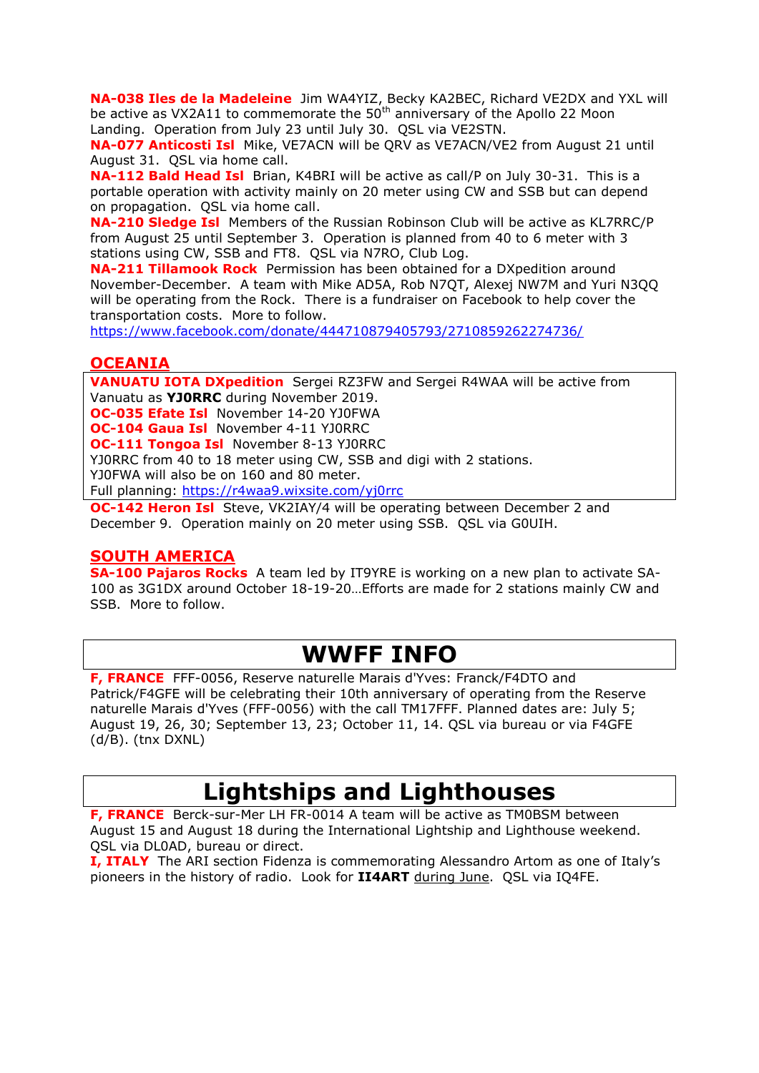**NA-038 Iles de la Madeleine** Jim WA4YIZ, Becky KA2BEC, Richard VE2DX and YXL will be active as VX2A11 to commemorate the  $50<sup>th</sup>$  anniversary of the Apollo 22 Moon Landing. Operation from July 23 until July 30. QSL via VE2STN.

**NA-077 Anticosti Isl** Mike, VE7ACN will be QRV as VE7ACN/VE2 from August 21 until August 31. QSL via home call.

**NA-112 Bald Head Isl** Brian, K4BRI will be active as call/P on July 30-31. This is a portable operation with activity mainly on 20 meter using CW and SSB but can depend on propagation. QSL via home call.

**NA-210 Sledge Isl** Members of the Russian Robinson Club will be active as KL7RRC/P from August 25 until September 3. Operation is planned from 40 to 6 meter with 3 stations using CW, SSB and FT8. QSL via N7RO, Club Log.

**NA-211 Tillamook Rock** Permission has been obtained for a DXpedition around November-December. A team with Mike AD5A, Rob N7QT, Alexej NW7M and Yuri N3QQ will be operating from the Rock. There is a fundraiser on Facebook to help cover the transportation costs. More to follow.

<https://www.facebook.com/donate/444710879405793/2710859262274736/>

#### **OCEANIA**

**VANUATU IOTA DXpedition** Sergei RZ3FW and Sergei R4WAA will be active from Vanuatu as **YJ0RRC** during November 2019.

**OC-035 Efate Isl** November 14-20 YJ0FWA

**OC-104 Gaua Isl** November 4-11 YJ0RRC

**OC-111 Tongoa Isl** November 8-13 YJ0RRC

YJ0RRC from 40 to 18 meter using CW, SSB and digi with 2 stations.

YJ0FWA will also be on 160 and 80 meter.

Full planning:<https://r4waa9.wixsite.com/yj0rrc>

**OC-142 Heron Isl** Steve, VK2IAY/4 will be operating between December 2 and December 9. Operation mainly on 20 meter using SSB. QSL via G0UIH.

#### **SOUTH AMERICA**

**SA-100 Pajaros Rocks** A team led by IT9YRE is working on a new plan to activate SA-100 as 3G1DX around October 18-19-20…Efforts are made for 2 stations mainly CW and SSB. More to follow.

## **WWFF INFO**

**F, FRANCE** FFF-0056, Reserve naturelle Marais d'Yves: Franck/F4DTO and Patrick/F4GFE will be celebrating their 10th anniversary of operating from the Reserve naturelle Marais d'Yves (FFF-0056) with the call TM17FFF. Planned dates are: July 5; August 19, 26, 30; September 13, 23; October 11, 14. QSL via bureau or via F4GFE (d/B). (tnx DXNL)

## **Lightships and Lighthouses**

**F, FRANCE** Berck-sur-Mer LH FR-0014 A team will be active as TM0BSM between August 15 and August 18 during the International Lightship and Lighthouse weekend. QSL via DL0AD, bureau or direct.

**I, ITALY** The ARI section Fidenza is commemorating Alessandro Artom as one of Italy's pioneers in the history of radio. Look for **II4ART** during June. QSL via IQ4FE.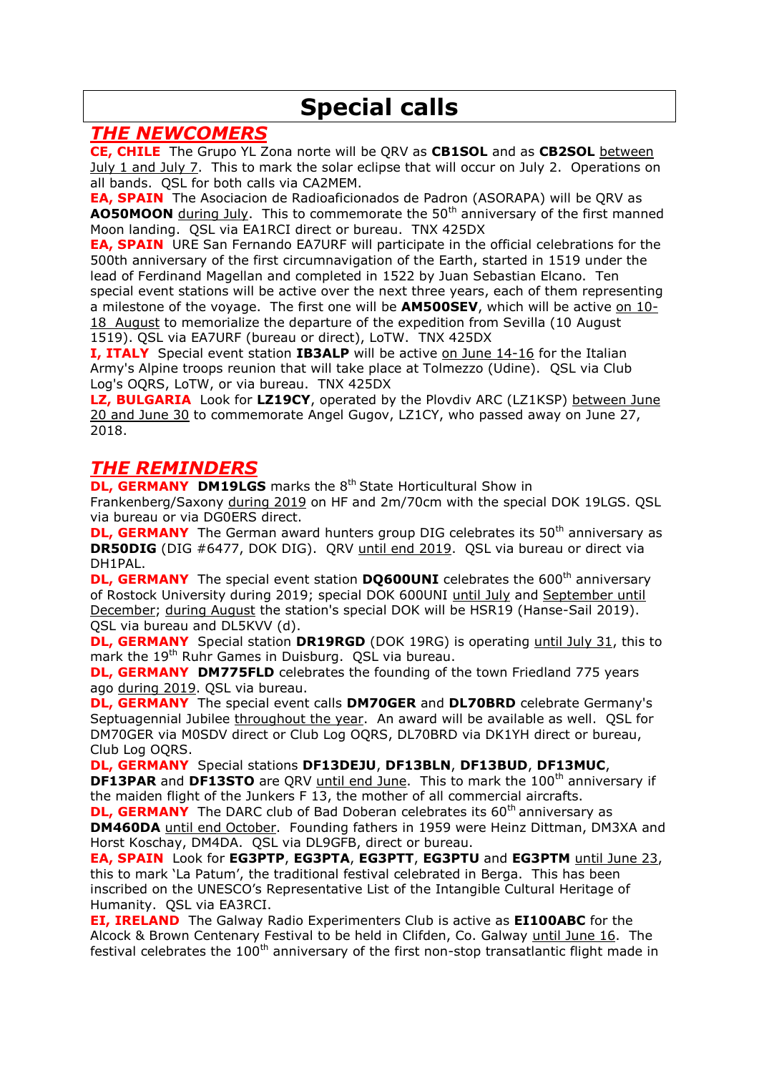## **Special calls**

### *THE NEWCOMERS*

**CE, CHILE** The Grupo YL Zona norte will be QRV as **CB1SOL** and as **CB2SOL** between July 1 and July 7. This to mark the solar eclipse that will occur on July 2. Operations on all bands. QSL for both calls via CA2MEM.

**EA, SPAIN** The Asociacion de Radioaficionados de Padron (ASORAPA) will be QRV as **AO50MOON** during July. This to commemorate the 50<sup>th</sup> anniversary of the first manned Moon landing. QSL via EA1RCI direct or bureau. TNX 425DX

**EA, SPAIN** URE San Fernando EA7URF will participate in the official celebrations for the 500th anniversary of the first circumnavigation of the Earth, started in 1519 under the lead of Ferdinand Magellan and completed in 1522 by Juan Sebastian Elcano. Ten special event stations will be active over the next three years, each of them representing a milestone of the voyage. The first one will be **AM500SEV**, which will be active on 10- 18 August to memorialize the departure of the expedition from Sevilla (10 August 1519). QSL via EA7URF (bureau or direct), LoTW. TNX 425DX

**I, ITALY** Special event station **IB3ALP** will be active on June 14-16 for the Italian Army's Alpine troops reunion that will take place at Tolmezzo (Udine). QSL via Club Log's OQRS, LoTW, or via bureau. TNX 425DX

**LZ, BULGARIA** Look for **LZ19CY**, operated by the Plovdiv ARC (LZ1KSP) between June 20 and June 30 to commemorate Angel Gugov, LZ1CY, who passed away on June 27, 2018.

### *THE REMINDERS*

**DL, GERMANY DM19LGS** marks the 8<sup>th</sup> State Horticultural Show in Frankenberg/Saxony during 2019 on HF and 2m/70cm with the special DOK 19LGS. QSL via bureau or via DG0ERS direct.

**DL, GERMANY** The German award hunters group DIG celebrates its 50<sup>th</sup> anniversary as **DR50DIG** (DIG #6477, DOK DIG). QRV until end 2019. QSL via bureau or direct via DH1PAL.

**DL, GERMANY** The special event station **DO600UNI** celebrates the 600<sup>th</sup> anniversary of Rostock University during 2019; special DOK 600UNI until July and September until December; during August the station's special DOK will be HSR19 (Hanse-Sail 2019). QSL via bureau and DL5KVV (d).

**DL, GERMANY** Special station **DR19RGD** (DOK 19RG) is operating until July 31, this to mark the 19<sup>th</sup> Ruhr Games in Duisburg. QSL via bureau.

**DL, GERMANY DM775FLD** celebrates the founding of the town Friedland 775 years ago during 2019. QSL via bureau.

**DL, GERMANY** The special event calls **DM70GER** and **DL70BRD** celebrate Germany's Septuagennial Jubilee throughout the year. An award will be available as well. QSL for DM70GER via M0SDV direct or Club Log OQRS, DL70BRD via DK1YH direct or bureau, Club Log OQRS.

**DL, GERMANY** Special stations **DF13DEJU**, **DF13BLN**, **DF13BUD**, **DF13MUC**, **DF13PAR** and **DF13STO** are QRV until end June. This to mark the 100<sup>th</sup> anniversary if the maiden flight of the Junkers F 13, the mother of all commercial aircrafts.

**DL, GERMANY** The DARC club of Bad Doberan celebrates its 60<sup>th</sup> anniversary as **DM460DA** until end October. Founding fathers in 1959 were Heinz Dittman, DM3XA and Horst Koschay, DM4DA. QSL via DL9GFB, direct or bureau.

**EA, SPAIN** Look for **EG3PTP**, **EG3PTA**, **EG3PTT**, **EG3PTU** and **EG3PTM** until June 23, this to mark 'La Patum', the traditional festival celebrated in Berga. This has been inscribed on the UNESCO's Representative List of the Intangible Cultural Heritage of Humanity. QSL via EA3RCI.

**EI, IRELAND** The Galway Radio Experimenters Club is active as **EI100ABC** for the Alcock & Brown Centenary Festival to be held in Clifden, Co. Galway until June 16. The festival celebrates the  $100<sup>th</sup>$  anniversary of the first non-stop transatlantic flight made in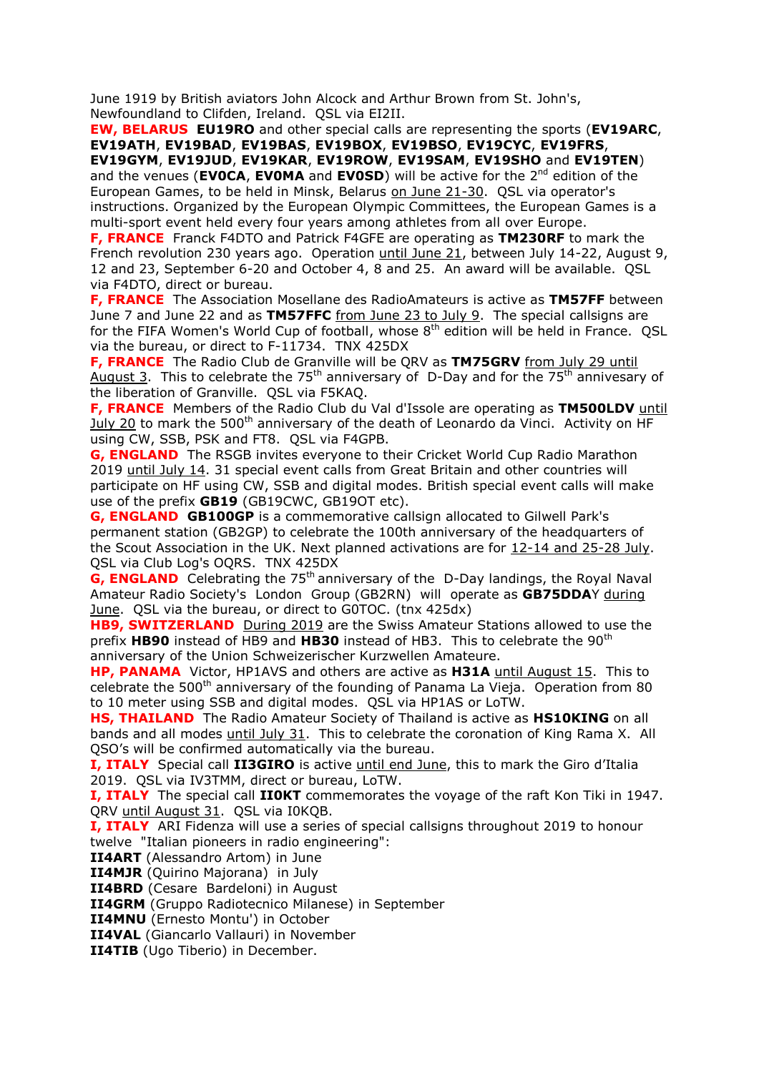June 1919 by British aviators John Alcock and Arthur Brown from St. John's, Newfoundland to Clifden, Ireland. QSL via EI2II.

**EW, BELARUS EU19RO** and other special calls are representing the sports (**EV19ARC**, **EV19ATH**, **EV19BAD**, **EV19BAS**, **EV19BOX**, **EV19BSO**, **EV19CYC**, **EV19FRS**, **EV19GYM**, **EV19JUD**, **EV19KAR**, **EV19ROW**, **EV19SAM**, **EV19SHO** and **EV19TEN**) and the venues (**EVOCA, EVOMA** and **EVOSD**) will be active for the 2<sup>nd</sup> edition of the European Games, to be held in Minsk, Belarus on June 21-30. QSL via operator's instructions. Organized by the European Olympic Committees, the European Games is a multi-sport event held every four years among athletes from all over Europe.

**F, FRANCE** Franck F4DTO and Patrick F4GFE are operating as **TM230RF** to mark the French revolution 230 years ago. Operation until June 21, between July 14-22, August 9, 12 and 23, September 6-20 and October 4, 8 and 25. An award will be available. QSL via F4DTO, direct or bureau.

**F, FRANCE** The Association Mosellane des RadioAmateurs is active as **TM57FF** between June 7 and June 22 and as **TM57FFC** from June 23 to July 9. The special callsigns are for the FIFA Women's World Cup of football, whose  $8<sup>th</sup>$  edition will be held in France. OSL via the bureau, or direct to F-11734. TNX 425DX

**F, FRANCE** The Radio Club de Granville will be QRV as **TM75GRV** from July 29 until August 3. This to celebrate the 75<sup>th</sup> anniversary of D-Day and for the 75<sup>th</sup> annivesary of the liberation of Granville. QSL via F5KAQ.

**F, FRANCE** Members of the Radio Club du Val d'Issole are operating as **TM500LDV** until July 20 to mark the 500<sup>th</sup> anniversary of the death of Leonardo da Vinci. Activity on HF using CW, SSB, PSK and FT8. QSL via F4GPB.

**G, ENGLAND** The RSGB invites everyone to their Cricket World Cup Radio Marathon 2019 until July 14. 31 special event calls from Great Britain and other countries will participate on HF using CW, SSB and digital modes. British special event calls will make use of the prefix **GB19** (GB19CWC, GB19OT etc).

**G, ENGLAND GB100GP** is a commemorative callsign allocated to Gilwell Park's permanent station (GB2GP) to celebrate the 100th anniversary of the headquarters of the Scout Association in the UK. Next planned activations are for 12-14 and 25-28 July. QSL via Club Log's OQRS. TNX 425DX

**G, ENGLAND** Celebrating the 75<sup>th</sup> anniversary of the D-Day landings, the Royal Naval Amateur Radio Society's London Group (GB2RN) will operate as **GB75DDA**Y during June. QSL via the bureau, or direct to G0TOC. (tnx 425dx)

**HB9, SWITZERLAND** During 2019 are the Swiss Amateur Stations allowed to use the prefix **HB90** instead of HB9 and **HB30** instead of HB3. This to celebrate the 90th anniversary of the Union Schweizerischer Kurzwellen Amateure.

**HP, PANAMA** Victor, HP1AVS and others are active as **H31A** until August 15. This to celebrate the  $500<sup>th</sup>$  anniversary of the founding of Panama La Vieja. Operation from 80 to 10 meter using SSB and digital modes. QSL via HP1AS or LoTW.

**HS, THAILAND** The Radio Amateur Society of Thailand is active as **HS10KING** on all bands and all modes until July 31. This to celebrate the coronation of King Rama X. All QSO's will be confirmed automatically via the bureau.

**I, ITALY** Special call **II3GIRO** is active until end June, this to mark the Giro d'Italia 2019. QSL via IV3TMM, direct or bureau, LoTW.

**I, ITALY** The special call **II0KT** commemorates the voyage of the raft Kon Tiki in 1947. QRV until August 31. QSL via I0KQB.

**I, ITALY** ARI Fidenza will use a series of special callsigns throughout 2019 to honour twelve "Italian pioneers in radio engineering":

**II4ART** (Alessandro Artom) in June

**II4MJR** (Quirino Majorana) in July

**II4BRD** (Cesare Bardeloni) in August

**II4GRM** (Gruppo Radiotecnico Milanese) in September

**II4MNU** (Ernesto Montu') in October

**II4VAL** (Giancarlo Vallauri) in November

**II4TIB** (Ugo Tiberio) in December.